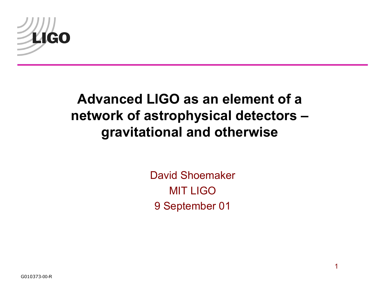

#### **Advanced LIGO as an element of a network of astrophysical detectors gravitational and otherwise**

David Shoemaker MIT LIGO 9 September 01

G010373-00-R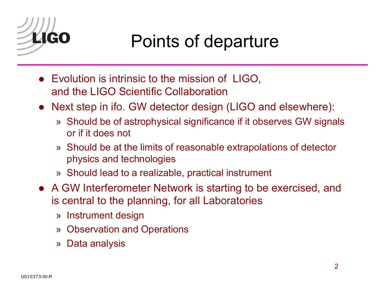

## Points of departure

- Evolution is intrinsic to the mission of LIGO, and the LIGO Scientific Collaboration
- Next step in ifo. GW detector design (LIGO and elsewhere):
	- » Should be of astrophysical significance if it observes GW signals or if it does not
	- » Should be at the limits of reasonable extrapolations of detector physics and technologies
	- » Should lead to a realizable, practical instrument
- A GW Interferometer Network is starting to be exercised, and is central to the planning, for all Laboratories
	- » Instrument design
	- » Observation and Operations
	- » Data analysis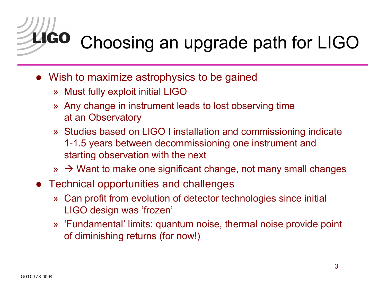

# Choosing an upgrade path for LIGO

- Wish to maximize astrophysics to be gained
	- »  $\,$  Must fully exploit initial LIGO  $\,$
	- » Any change in instrument leads to lost observing time at an Observatory
	- » Studies based on LIGO I installation and commissioning indicate 1-1.5 years between decommissioning one instrument and starting observation with the next
	- »  $\rightarrow$  Want to make one significant change, not many small changes
- Technical opportunities and challenges
	- » Can profit from evolution of detector technologies since initial LIGO design was 'frozen'
	- » 'Fundamental' limits: quantum noise, thermal noise provide point of diminishing returns (for now!)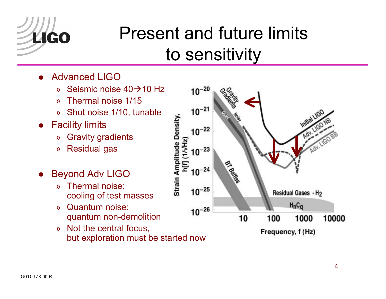

## Present and future limits to sensitivity

- $\bullet$  Advanced LIGO
	- » Seismic noise 40 $\rightarrow$ 10 Hz
	- ªThermal noise 1/15
	- » Shot noise 1/10, tunable
- **•** Facility limits
	- $\mathcal{Y}$ Gravity gradients
	- ªResidual gas
- $\bullet$  Beyond Adv LIGO
	- ª Thermal noise: cooling of test masses
	- » Quantum noise: quantum non-demolition
	- » Not the central focus, but exploration must be started now

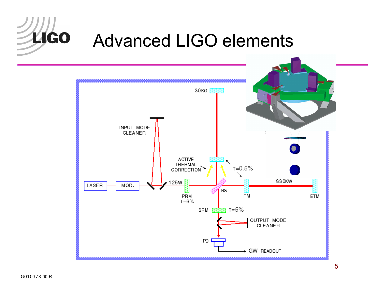

#### Advanced LIGO elements

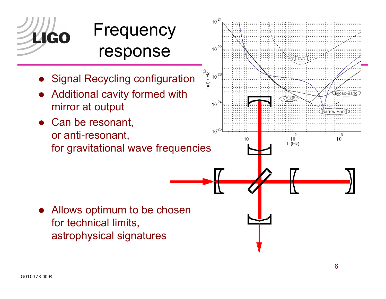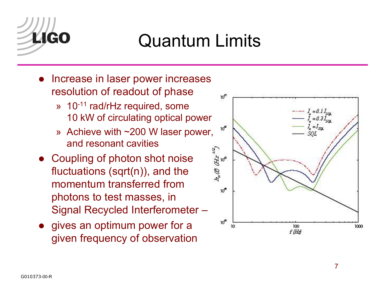

## Quantum Limits

- Increase in laser power increases resolution of readout of phase
	- » 10<sup>-11</sup> rad/rHz required, some 10 kW of circulating optical power
	- » Achieve with  $\sim$ 200 W laser power, and resonant cavities
- Coupling of photon shot noise fluctuations (sqrt(n)), and the momentum transferred from photons to test masses, in Signal Recycled Interferometer -
- gives an optimum power for a given frequency of observation

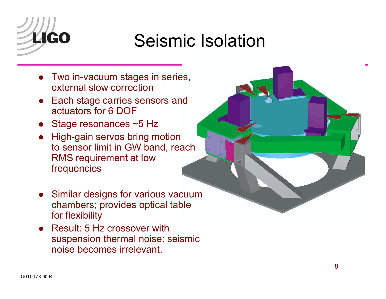

## Seismic Isolation

- Two in-vacuum stages in series, external slow correction
- Each stage carries sensors and actuators for 6 DOF
- Stage resonances ~5 Hz
- High-gain servos bring motion to sensor limit in GW band, reach RMS requirement at low frequencies



- Similar designs for various vacuum chambers; provides optical table for flexibility
- Result: 5 Hz crossover with suspension thermal noise: seismic noise becomes irrelevant.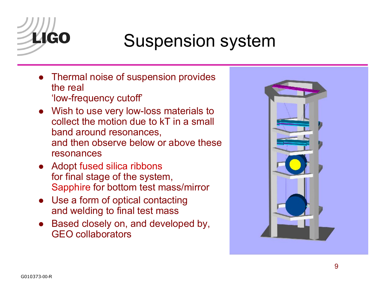

## Suspension system

- $\bullet$  Thermal noise of suspension provides the real 'low-frequency cutoff'
- Wish to use very low-loss materials to collect the motion due to kT in a small band around resonances, and then observe below or above these resonances
- Adopt fused silica ribbons for final stage of the system, Sapphire for bottom test mass/mirror
- Use a form of optical contacting and welding to final test mass
- $\bullet$  Based closely on, and developed by, GEO collaborators

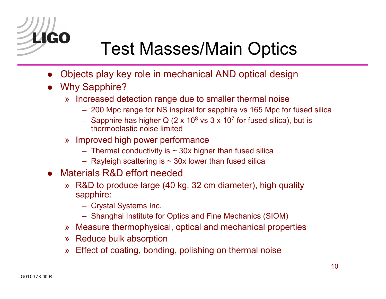

## Test Masses/Main Optics

- $\bullet$ Objects play key role in mechanical AND optical design
- $\bullet$  Why Sapphire?
	- » Increased detection range due to smaller thermal noise
		- $\, \,$  200 Mpc range for NS inspiral for sapphire vs 165 Mpc for fused silica
		- Sapphire has higher Q (2 x 10<sup>8</sup> vs 3 x 10<sup>7</sup> for fused silica), but is thermoelastic noise limited
	- » Improved high power performance
		- $-$  Thermal conductivity is  $\sim$  30x higher than fused silica
		- $-$  Rayleigh scattering is  $\sim$  30x lower than fused silica
- $\bullet$  Materials R&D effort needed
	- $\lambda$  R&D to produce large (40 kg, 32 cm diameter), high quality sapphire:
		- Crystal Systems Inc.
		- $-$  Shanghai Institute for Optics and Fine Mechanics (SIOM)
	- » Measure thermophysical, optical and mechanical properties
	- »  $\,$  Reduce bulk absorption
	- » Effect of coating, bonding, polishing on thermal noise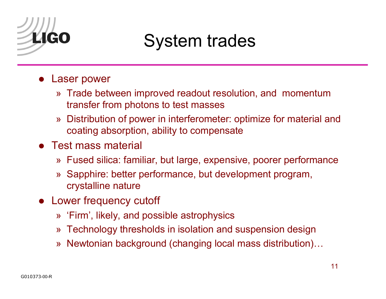

## System trades

- Laser power
	- » Trade between improved readout resolution, and momentum transfer from photons to test masses
	- » Distribution of power in interferometer: optimize for material and coating absorption, ability to compensate
- Test mass material
	- » Fused silica: familiar, but large, expensive, poorer performance
	- » Sapphire: better performance, but development program, crystalline nature
- Lower frequency cutoff
	- » *'*Firm', likely, and possible astrophysics
	- $\ast$  Technology thresholds in isolation and suspension design
	- »  $\,$  Newtonian background (changing local mass distribution) $\ldots$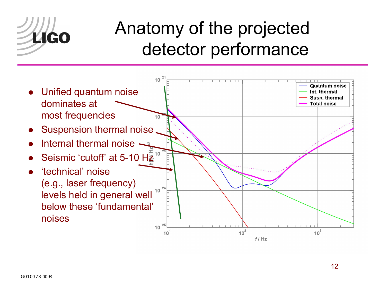

## Anatomy of the projected detector performance

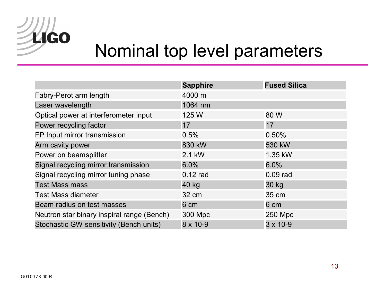

#### Nominal top level parameters

|                                            | <b>Sapphire</b> | <b>Fused Silica</b> |
|--------------------------------------------|-----------------|---------------------|
| Fabry-Perot arm length                     | 4000 m          |                     |
| Laser wavelength                           | 1064 nm         |                     |
| Optical power at interferometer input      | 125 W           | 80 W                |
| Power recycling factor                     | 17              | 17                  |
| FP Input mirror transmission               | 0.5%            | 0.50%               |
| Arm cavity power                           | 830 kW          | 530 kW              |
| Power on beamsplitter                      | 2.1 kW          | 1.35 kW             |
| Signal recycling mirror transmission       | $6.0\%$         | 6.0%                |
| Signal recycling mirror tuning phase       | $0.12$ rad      | 0.09 rad            |
| <b>Test Mass mass</b>                      | 40 kg           | 30 kg               |
| <b>Test Mass diameter</b>                  | 32 cm           | 35 cm               |
| Beam radius on test masses                 | 6 cm            | 6 cm                |
| Neutron star binary inspiral range (Bench) | 300 Mpc         | 250 Mpc             |
| Stochastic GW sensitivity (Bench units)    | 8 x 10-9        | $3 \times 10 - 9$   |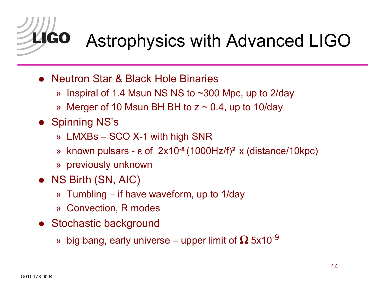

## Astrophysics with Advanced LIGO

- Neutron Star & Black Hole Binaries
	- » Inspiral of 1.4 Msun NS NS to ~300 Mpc, up to 2/day
	- » Merger of 10 Msun BH BH to z  $\sim$  0.4, up to 10/day
- **Spinning NS's** 
	- »  $\,$  LMXBs  $-$  SCO X-1 with high SNR
	- ª known pulsars <sup>ε</sup> of 2x10**-8** (1000Hz/f)**<sup>2</sup>**x (distance/10kpc)
	- » previously unknown
- NS Birth (SN, AIC)
	- » Tumbling if have waveform, up to 1/day
	- » Convection, R modes
- **•** Stochastic background
	- » big bang, early universe upper limit of  $\Omega$  5x10<sup>-9</sup>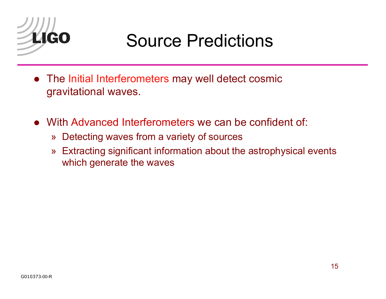

## Source Predictions

- $\bullet$  The Initial Interferometers may well detect cosmic gravitational waves.
- With Advanced Interferometers we can be confident of:
	- » Detecting waves from a variety of sources
	- » Extracting significant information about the astrophysical events which generate the waves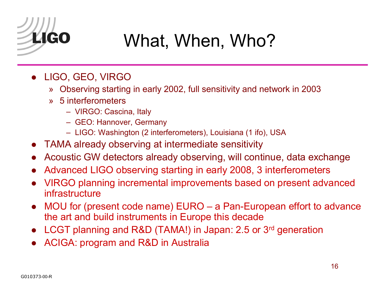

## What, When, Who?

- LIGO, GEO, VIRGO
	- » Observing starting in early 2002, full sensitivity and network in 2003
	- » 5 interferometers
		- VIRGO: Cascina, Italy
		- GEO: Hannover, Germany
		- LIGO: Washington (2 interferometers), Louisiana (1 ifo), USA
- $\bullet$ TAMA already observing at intermediate sensitivity
- $\bullet$ Acoustic GW detectors already observing, will continue, data exchange
- $\bullet$ Advanced LIGO observing starting in early 2008, 3 interferometers
- $\bullet$  VIRGO planning incremental improvements based on present advanced infrastructure
- $\bullet$  MOU for (present code name)  $EURO a$  Pan-European effort to advance the art and build instruments in Europe this decade
- LCGT planning and R&D (TAMA!) in Japan: 2.5 or 3<sup>rd</sup> generation
- ACIGA: program and R&D in Australia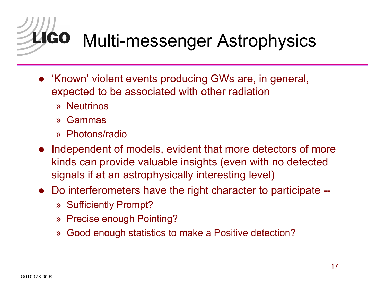**LIGO** Multi-messenger Astrophysics

- 'Known' violent events producing GWs are, in general, expected to be associated with other radiation
	- » Neutrinos
	- » Gammas
	- » Photons/radio
- Independent of models, evident that more detectors of more kinds can provide valuable insights (even with no detected signals if at an astrophysically interesting level)
- Do interferometers have the right character to participate --
	- » Sufficiently Prompt?
	- » Precise enough Pointing?
	- » Good enough statistics to make a Positive detection?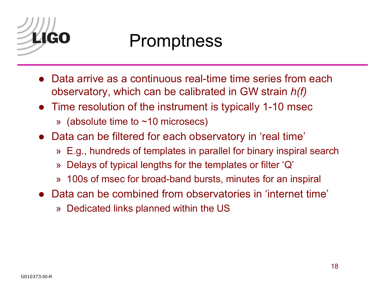

#### Promptness

- $\bullet$  Data arrive as a continuous real-time time series from each observatory, which can be calibrated in GW strain *h(f)*
- $\bullet$  Time resolution of the instrument is typically 1-10 msec
	- » (absolute time to  $\sim\!10$  microsecs)
- Data can be filtered for each observatory in 'real time'
	- » E.g., hundreds of templates in parallel for binary inspiral search
	- » Delays of typical lengths for the templates or filter 'Q'
	- » 100s of msec for broad-band bursts, minutes for an inspiral
- Data can be combined from observatories in 'internet time'
	- » Dedicated links planned within the US  $\,$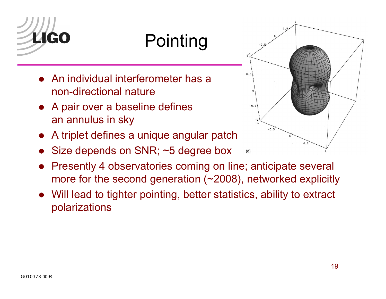

## **Pointing**

- An individual interferometer has a non-directional nature
- $\bullet$  A pair over a baseline defines an annulus in sky
- $\bullet$ A triplet defines a unique angular patch
- $\bullet$ Size depends on SNR; ~5 degree box



 $\bullet$  Will lead to tighter pointing, better statistics, ability to extract polarizations



 $\bullet$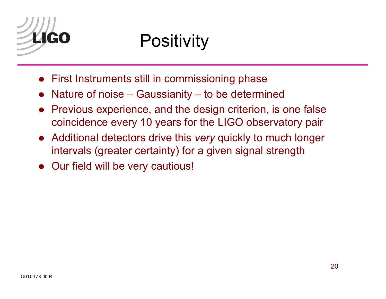

## **Positivity**

- First Instruments still in commissioning phase
- $\bullet$ Nature of noise  $-$  Gaussianity  $-$  to be determined
- $\bullet$  Previous experience, and the design criterion, is one false coincidence every 10 years for the LIGO observatory pair
- $\bullet$  Additional detectors drive this *very* quickly to much longer intervals (greater certainty) for a given signal strength
- Our field will be very cautious!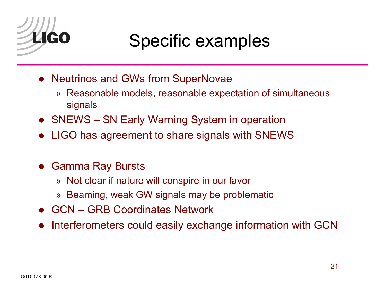

## Specific examples

- **Neutrinos and GWs from SuperNovae** 
	- » Reasonable models, reasonable expectation of simultaneous signals
- SNEWS SN Early Warning System in operation
- LIGO has agreement to share signals with SNEWS
- **Gamma Ray Bursts** 
	- $\ast\,$  Not clear if nature will conspire in our favor
	- » Beaming, weak GW signals may be problematic
- GCN GRB Coordinates Network
- $\bullet$ Interferometers could easily exchange information with GCN